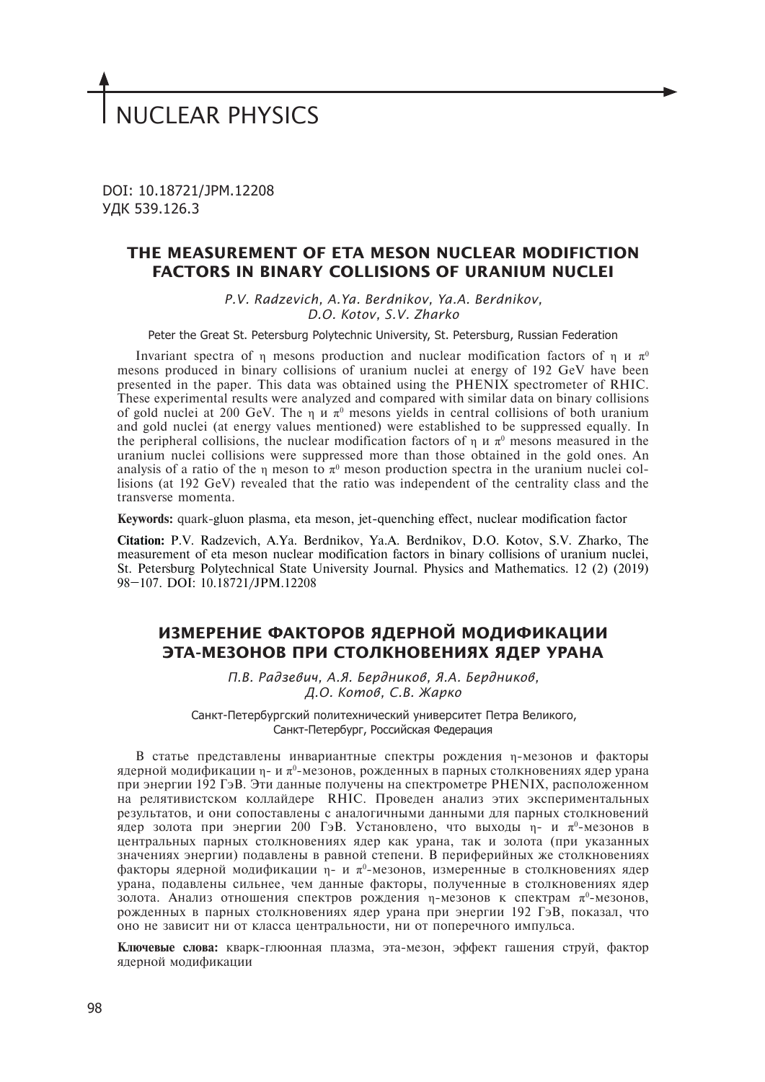# NUCLEAR PHYSICS

DOI: 10.18721/JPM.12208 УДК 539.126.3

# **THE MEASUREMENT OF ETA MESON NUCLEAR MODIFICTION FACTORS IN BINARY COLLISIONS OF URANIUM NUCLEI**

*P.V. Radzevich, A.Ya. Berdnikov, Ya.A. Berdnikov, D.O. Kotov, S.V. Zharko*

Peter the Great St. Petersburg Polytechnic University, St. Petersburg, Russian Federation

Invariant spectra of η mesons production and nuclear modification factors of η  $u \pi^0$ mesons produced in binary collisions of uranium nuclei at energy of 192 GeV have been presented in the paper. This data was obtained using the PHENIX spectrometer of RHIC. These experimental results were analyzed and compared with similar data on binary collisions of gold nuclei at 200 GeV. The  $\eta$  *u*  $\pi^0$  mesons yields in central collisions of both uranium and gold nuclei (at energy values mentioned) were established to be suppressed equally. In the peripheral collisions, the nuclear modification factors of  $\eta$   $\pi$   $\pi$ <sup>0</sup> mesons measured in the uranium nuclei collisions were suppressed more than those obtained in the gold ones. An analysis of a ratio of the  $\eta$  meson to  $\pi^0$  meson production spectra in the uranium nuclei collisions (at 192 GeV) revealed that the ratio was independent of the centrality class and the transverse momenta.

**Keywords:** quark-gluon plasma, eta meson, jet-quenching effect, nuclear modification factor

**Citation:** P.V. Radzevich, A.Ya. Berdnikov, Ya.A. Berdnikov, D.O. Kotov, S.V. Zharko, The measurement of eta meson nuclear modification factors in binary collisions of uranium nuclei, St. Petersburg Polytechnical State University Journal. Physics and Mathematics. 12 (2) (2019) 98–107. DOI: 10.18721/JPM.12208

# **ИЗМЕРЕНИЕ ФАКТОРОВ ЯДЕРНОЙ МОДИФИКАЦИИ ЭТА-МЕЗОНОВ ПРИ СТОЛКНОВЕНИЯХ ЯДЕР УРАНА**

*П.В. Радзевич, А.Я. Бердников, Я.А. Бердников, Д.О. Котов, С.В. Жарко*

Санкт-Петербургский политехнический университет Петра Великого, Санкт-Петербург, Российская Федерация

В статье представлены инвариантные спектры рождения η-мезонов и факторы ядерной модификации η- и  $\pi^0$ -мезонов, рожденных в парных столкновениях ядер урана при энергии 192 ГэВ. Эти данные получены на спектрометре PHENIX, расположенном на релятивистском коллайдере RHIC. Проведен анализ этих экспериментальных результатов, и они сопоставлены с аналогичными данными для парных столкновений ядер золота при энергии 200 ГэВ. Установлено, что выходы η- и  $\pi^0$ -мезонов в центральных парных столкновениях ядер как урана, так и золота (при указанных значениях энергии) подавлены в равной степени. В периферийных же столкновениях факторы ядерной модификации η- и  $\pi^0$ -мезонов, измеренные в столкновениях ядер урана, подавлены сильнее, чем данные факторы, полученные в столкновениях ядер золота. Анализ отношения спектров рождения η-мезонов к спектрам  $\pi^0$ -мезонов, рожденных в парных столкновениях ядер урана при энергии 192 ГэВ, показал, что оно не зависит ни от класса центральности, ни от поперечного импульса.

**Ключевые слова:** кварк-глюонная плазма, эта-мезон, эффект гашения струй, фактор ядерной модификации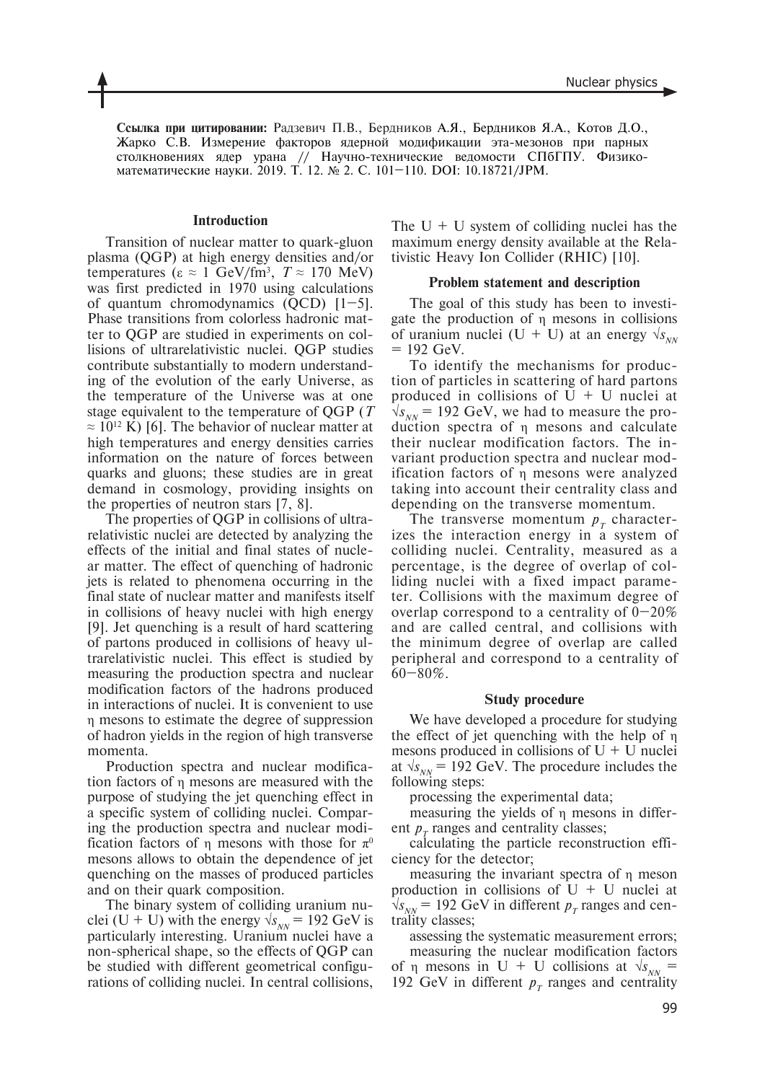**Ссылка при цитировании:** Радзевич П.В., Бердников А.Я., Бердников Я.А., Котов Д.О., Жарко С.В. Измерение факторов ядерной модификации эта-мезонов при парных столкновениях ядер урана // Научно-технические ведомости СПбГПУ. Физикоматематические науки. 2019. Т. 12. № 2. С. 101–110. DOI: 10.18721/JPM.

### **Introduction**

Transition of nuclear matter to quark-gluon plasma (QGP) at high energy densities and/or temperatures ( $\epsilon \approx 1$  GeV/fm<sup>3</sup>,  $T \approx 170$  MeV) was first predicted in 1970 using calculations of quantum chromodynamics  $(QCD)$  [1–5]. Phase transitions from colorless hadronic matter to QGP are studied in experiments on collisions of ultrarelativistic nuclei. QGP studies contribute substantially to modern understanding of the evolution of the early Universe, as the temperature of the Universe was at one stage equivalent to the temperature of QGP (*T*  $\approx 10^{12}$  K) [6]. The behavior of nuclear matter at high temperatures and energy densities carries information on the nature of forces between quarks and gluons; these studies are in great demand in cosmology, providing insights on the properties of neutron stars [7, 8].

The properties of QGP in collisions of ultrarelativistic nuclei are detected by analyzing the effects of the initial and final states of nuclear matter. The effect of quenching of hadronic jets is related to phenomena occurring in the final state of nuclear matter and manifests itself in collisions of heavy nuclei with high energy [9]. Jet quenching is a result of hard scattering of partons produced in collisions of heavy ultrarelativistic nuclei. This effect is studied by measuring the production spectra and nuclear modification factors of the hadrons produced in interactions of nuclei. It is convenient to use η mesons to estimate the degree of suppression of hadron yields in the region of high transverse momenta.

Production spectra and nuclear modification factors of η mesons are measured with the purpose of studying the jet quenching effect in a specific system of colliding nuclei. Comparing the production spectra and nuclear modification factors of n mesons with those for  $\pi^0$ mesons allows to obtain the dependence of jet quenching on the masses of produced particles and on their quark composition.

The binary system of colliding uranium nuclei (U + U) with the energy  $\sqrt{s_{NN}}$  = 192 GeV is particularly interesting. Uranium nuclei have a non-spherical shape, so the effects of QGP can be studied with different geometrical configurations of colliding nuclei. In central collisions,

The  $U + U$  system of colliding nuclei has the maximum energy density available at the Relativistic Heavy Ion Collider (RHIC) [10].

#### **Problem statement and description**

The goal of this study has been to investigate the production of η mesons in collisions of uranium nuclei (U + U) at an energy  $\sqrt{s_{NN}}$  $= 192$  GeV.

To identify the mechanisms for production of particles in scattering of hard partons produced in collisions of  $U + U$  nuclei at  $\sqrt{s_{NN}}$  = 192 GeV, we had to measure the production spectra of η mesons and calculate their nuclear modification factors. The invariant production spectra and nuclear modification factors of η mesons were analyzed taking into account their centrality class and depending on the transverse momentum.

The transverse momentum  $p<sub>T</sub>$  characterizes the interaction energy in a system of colliding nuclei. Centrality, measured as a percentage, is the degree of overlap of colliding nuclei with a fixed impact parameter. Collisions with the maximum degree of overlap correspond to a centrality of  $0-20\%$ and are called central, and collisions with the minimum degree of overlap are called peripheral and correspond to a centrality of  $60 - 80\%$ .

#### **Study procedure**

We have developed a procedure for studying the effect of jet quenching with the help of η mesons produced in collisions of  $U + U$  nuclei at  $\sqrt{s_{NN}}$  = 192 GeV. The procedure includes the following steps:

processing the experimental data;

measuring the yields of η mesons in different  $p<sub>r</sub>$  ranges and centrality classes;

calculating the particle reconstruction efficiency for the detector;

measuring the invariant spectra of η meson production in collisions of  $U + U$  nuclei at  $\sqrt{s_{NN}}$  = 192 GeV in different  $p_T$  ranges and centrality classes;

assessing the systematic measurement errors;

measuring the nuclear modification factors of  $\eta$  mesons in U + U collisions at  $\sqrt{s_{NN}}$  = 192 GeV in different  $p<sub>T</sub>$  ranges and centrality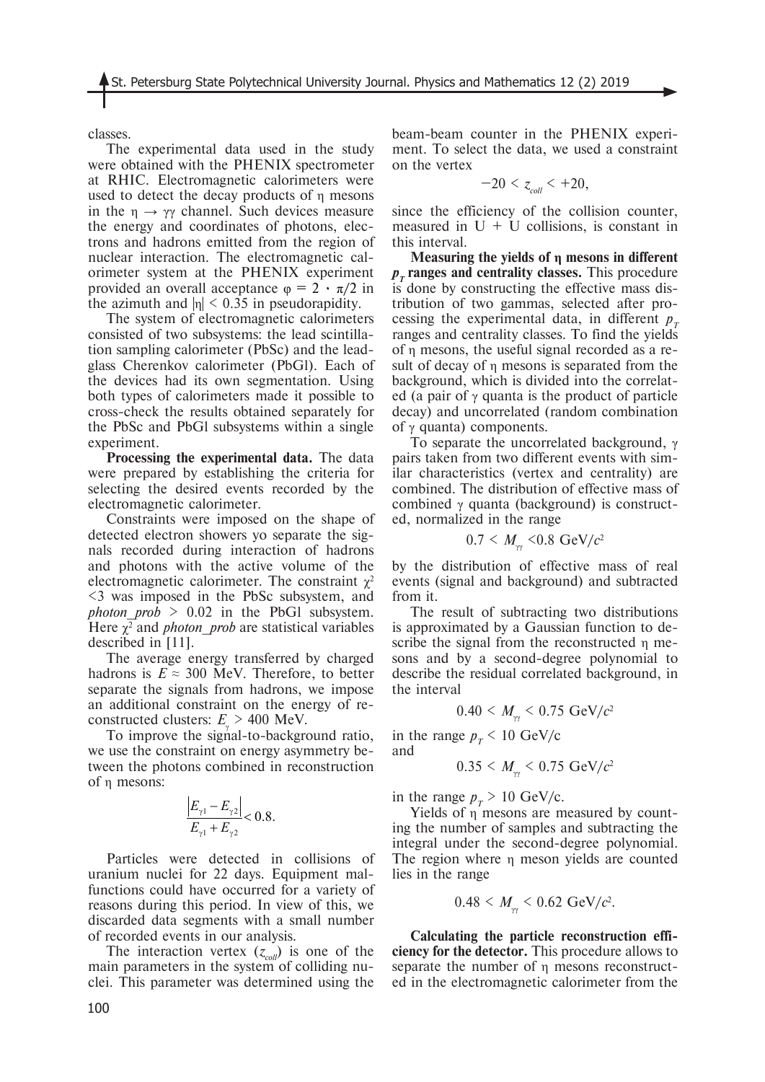classes.

The experimental data used in the study were obtained with the PHENIX spectrometer at RHIC. Electromagnetic calorimeters were used to detect the decay products of  $\eta$  mesons in the  $\eta \rightarrow \gamma \gamma$  channel. Such devices measure the energy and coordinates of photons, electrons and hadrons emitted from the region of nuclear interaction. The electromagnetic calorimeter system at the PHENIX experiment provided an overall acceptance  $\varphi = 2 \cdot \pi/2$  in the azimuth and  $|\eta|$  < 0.35 in pseudorapidity.

The system of electromagnetic calorimeters consisted of two subsystems: the lead scintillation sampling calorimeter (PbSc) and the leadglass Cherenkov calorimeter (PbGl). Each of the devices had its own segmentation. Using both types of calorimeters made it possible to cross-check the results obtained separately for the PbSc and PbGl subsystems within a single experiment.

**Processing the experimental data.** The data were prepared by establishing the criteria for selecting the desired events recorded by the electromagnetic calorimeter.

Constraints were imposed on the shape of detected electron showers yo separate the signals recorded during interaction of hadrons and photons with the active volume of the electromagnetic calorimeter. The constraint  $\chi^2$ <3 was imposed in the PbSc subsystem, and *photon\_prob* > 0.02 in the PbGl subsystem. Here  $\chi^2$  and *photon\_prob* are statistical variables described in [11].

The average energy transferred by charged hadrons is  $E \approx 300$  MeV. Therefore, to better separate the signals from hadrons, we impose an additional constraint on the energy of reconstructed clusters:  $E_{\gamma}$  > 400 MeV.

To improve the signal-to-background ratio, we use the constraint on energy asymmetry between the photons combined in reconstruction of η mesons:

$$
\frac{\left|E_{\gamma 1} - E_{\gamma 2}\right|}{E_{\gamma 1} + E_{\gamma 2}} < 0.8.
$$

Particles were detected in collisions of uranium nuclei for 22 days. Equipment malfunctions could have occurred for a variety of reasons during this period. In view of this, we discarded data segments with a small number of recorded events in our analysis.

The interaction vertex  $(z_{coll})$  is one of the main parameters in the system of colliding nuclei. This parameter was determined using the beam-beam counter in the PHENIX experiment. To select the data, we used a constraint on the vertex

$$
-20 < z_{\text{coll}} < +20,
$$

since the efficiency of the collision counter, measured in  $U + U$  collisions, is constant in this interval.

**Measuring the yields of η mesons in different**   $p<sub>r</sub>$  **ranges** and centrality classes. This procedure is done by constructing the effective mass distribution of two gammas, selected after processing the experimental data, in different  $p_{\tau}$ ranges and centrality classes. To find the yields of η mesons, the useful signal recorded as a result of decay of η mesons is separated from the background, which is divided into the correlated (a pair of  $\gamma$  quanta is the product of particle decay) and uncorrelated (random combination of  $\gamma$  quanta) components.

To separate the uncorrelated background,  $\gamma$ pairs taken from two different events with similar characteristics (vertex and centrality) are combined. The distribution of effective mass of combined γ quanta (background) is constructed, normalized in the range

$$
0.7 \leq M_{\gamma\gamma} \leq 0.8 \text{ GeV}/c^2
$$

by the distribution of effective mass of real events (signal and background) and subtracted from it.

The result of subtracting two distributions is approximated by a Gaussian function to describe the signal from the reconstructed η mesons and by a second-degree polynomial to describe the residual correlated background, in the interval

$$
0.40 \leq M_{\gamma\gamma} \leq 0.75 \text{ GeV}/c^2
$$

in the range  $p_T < 10 \text{ GeV/c}$ and

$$
0.35 \leq M_{\gamma\gamma} \leq 0.75 \text{ GeV}/c^2
$$

in the range  $p_T > 10 \text{ GeV/c}$ .

Yields of η mesons are measured by counting the number of samples and subtracting the integral under the second-degree polynomial. The region where η meson yields are counted lies in the range

$$
0.48 < M_{\gamma\gamma} < 0.62 \text{ GeV}/c^2.
$$

**Calculating the particle reconstruction efficiency for the detector.** This procedure allows to separate the number of η mesons reconstructed in the electromagnetic calorimeter from the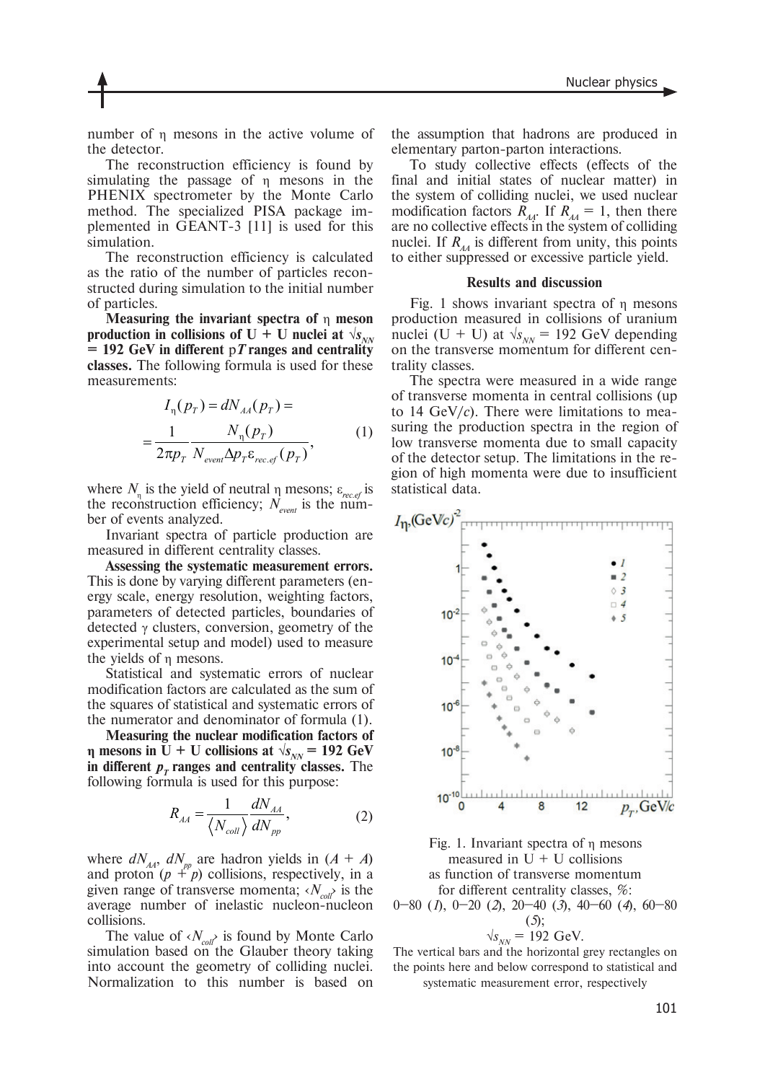number of η mesons in the active volume of the detector.

The reconstruction efficiency is found by simulating the passage of η mesons in the PHENIX spectrometer by the Monte Carlo method. The specialized PISA package implemented in GEANT-3 [11] is used for this simulation.

The reconstruction efficiency is calculated as the ratio of the number of particles reconstructed during simulation to the initial number of particles.

**Measuring the invariant spectra of** η **meson**  production in collisions of U + U nuclei at  $\sqrt{s_{NN}}$ **= 192 GeV in different** p*T* **ranges and centrality classes.** The following formula is used for these measurements:

$$
I_{\eta}(p_T) = dN_{AA}(p_T) =
$$
  
= 
$$
\frac{1}{2\pi p_T} \frac{N_{\eta}(p_T)}{N_{event} \Delta p_T \varepsilon_{rec.ef}(p_T)},
$$
 (1)

where  $N_{\eta}$  is the yield of neutral  $\eta$  mesons;  $\varepsilon_{\text{rec},\text{ef}}$  is the reconstruction efficiency;  $N_{\text{event}}$  is the number of events analyzed.

Invariant spectra of particle production are measured in different centrality classes.

**Assessing the systematic measurement errors.**  This is done by varying different parameters (energy scale, energy resolution, weighting factors, parameters of detected particles, boundaries of detected γ clusters, conversion, geometry of the experimental setup and model) used to measure the yields of η mesons.

Statistical and systematic errors of nuclear modification factors are calculated as the sum of the squares of statistical and systematic errors of the numerator and denominator of formula (1).

**Measuring the nuclear modification factors of** *n* **mesons in U + U collisions at**  $\sqrt{s_{NN}} = 192 \text{ GeV}$ **in different**  $p<sub>T</sub>$  **ranges** and **centrality classes**. The following formula is used for this purpose:

$$
R_{AA} = \frac{1}{\langle N_{coll} \rangle} \frac{dN_{AA}}{dN_{pp}},
$$
 (2)

where  $dN_{AA}$ ,  $dN_{pp}$  are hadron yields in  $(A + A)$ and proton  $(p + p)$  collisions, respectively, in a given range of transverse momenta;  $\langle N_{\text{col}} \rangle$  is the average number of inelastic nucleon-nucleon collisions.

The value of  $\langle N_{col} \rangle$  is found by Monte Carlo simulation based on the Glauber theory taking into account the geometry of colliding nuclei. Normalization to this number is based on the assumption that hadrons are produced in elementary parton-parton interactions.

To study collective effects (effects of the final and initial states of nuclear matter) in the system of colliding nuclei, we used nuclear modification factors  $\overline{R}_{A_1}$ . If  $R_{A_1} = 1$ , then there are no collective effects in the system of colliding nuclei. If  $R_{AA}$  is different from unity, this points to either suppressed or excessive particle yield.

#### **Results and discussion**

Fig. 1 shows invariant spectra of η mesons production measured in collisions of uranium nuclei (U + U) at  $\sqrt{s_{NN}}$  = 192 GeV depending on the transverse momentum for different centrality classes.

The spectra were measured in a wide range of transverse momenta in central collisions (up to 14 GeV/*с*). There were limitations to measuring the production spectra in the region of low transverse momenta due to small capacity of the detector setup. The limitations in the region of high momenta were due to insufficient statistical data.





$$
\sqrt{s_{NN}} = 192 \text{ GeV}.
$$

The vertical bars and the horizontal grey rectangles on the points here and below correspond to statistical and systematic measurement error, respectively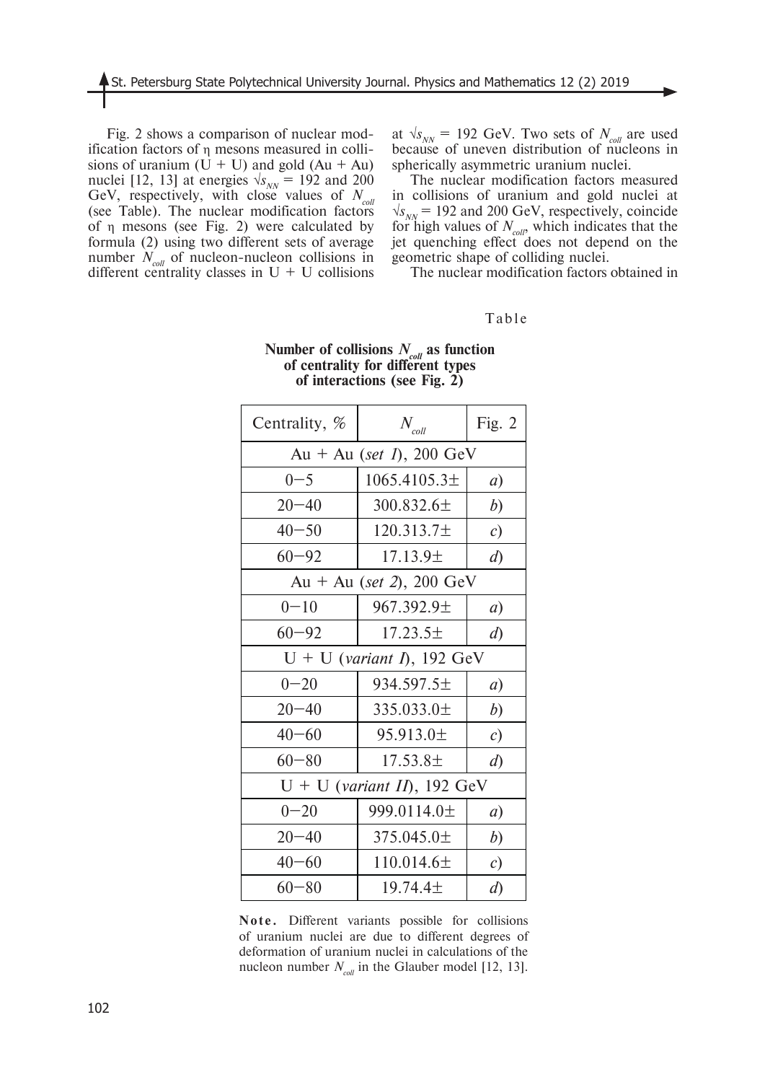Fig. 2 shows a comparison of nuclear modification factors of η mesons measured in collisions of uranium  $(U + U)$  and gold  $(Au + Au)$ nuclei [12, 13] at energies  $\sqrt{s_{NN}}$  = 192 and 200 GeV, respectively, with close values of  $N_{\text{col}}$ (see Table). The nuclear modification factors of η mesons (see Fig. 2) were calculated by formula (2) using two different sets of average number  $N_{coll}$  of nucleon-nucleon collisions in different centrality classes in  $U + U$  collisions

at  $\sqrt{s_{NN}}$  = 192 GeV. Two sets of  $N_{coll}$  are used because of uneven distribution of nucleons in spherically asymmetric uranium nuclei.

The nuclear modification factors measured in collisions of uranium and gold nuclei at  $\sqrt{s_{NN}}$  = 192 and 200 GeV, respectively, coincide for high values of  $N_{coll}$ , which indicates that the jet quenching effect does not depend on the geometric shape of colliding nuclei.

The nuclear modification factors obtained in

# Table

| Centrality, %                 | $N_{\textit{coll}}$ | Fig. $2$       |
|-------------------------------|---------------------|----------------|
| Au + Au (set 1), 200 GeV      |                     |                |
| $0 - 5$                       | $1065.4105.3\pm$    | a)             |
| $20 - 40$                     | 300.832.6±          | b)             |
| $40 - 50$                     | $120.313.7\pm$      | c)             |
| $60 - 92$                     | $17.13.9\pm$        | $\overline{d}$ |
| Au + Au (set 2), 200 GeV      |                     |                |
| $0 - 10$                      | $967.392.9 \pm$     | a)             |
| $60 - 92$                     | $17.23.5\pm$        | $\overline{d}$ |
| $U + U$ (variant I), 192 GeV  |                     |                |
| $0 - 20$                      | $934.597.5\pm$      | a)             |
| $20 - 40$                     | $335.033.0 \pm$     | b)             |
| $40 - 60$                     | 95.913.0±           | c)             |
| $60 - 80$                     | $17.53.8\pm$        | $\overline{d}$ |
| $U + U$ (variant II), 192 GeV |                     |                |
| $0 - 20$                      | 999.0114.0±         | a)             |
| $20 - 40$                     | 375.045.0 $\pm$     | b)             |
| $40 - 60$                     | $110.014.6\pm$      | c)             |
| $60 - 80$                     | $19.74.4 \pm$       | $\overline{d}$ |

## **Number of collisions** *Ncoll* **as function of centrality for different types of interactions (see Fig. 2)**

**Note.** Different variants possible for collisions of uranium nuclei are due to different degrees of deformation of uranium nuclei in calculations of the nucleon number  $N_{coll}$  in the Glauber model [12, 13].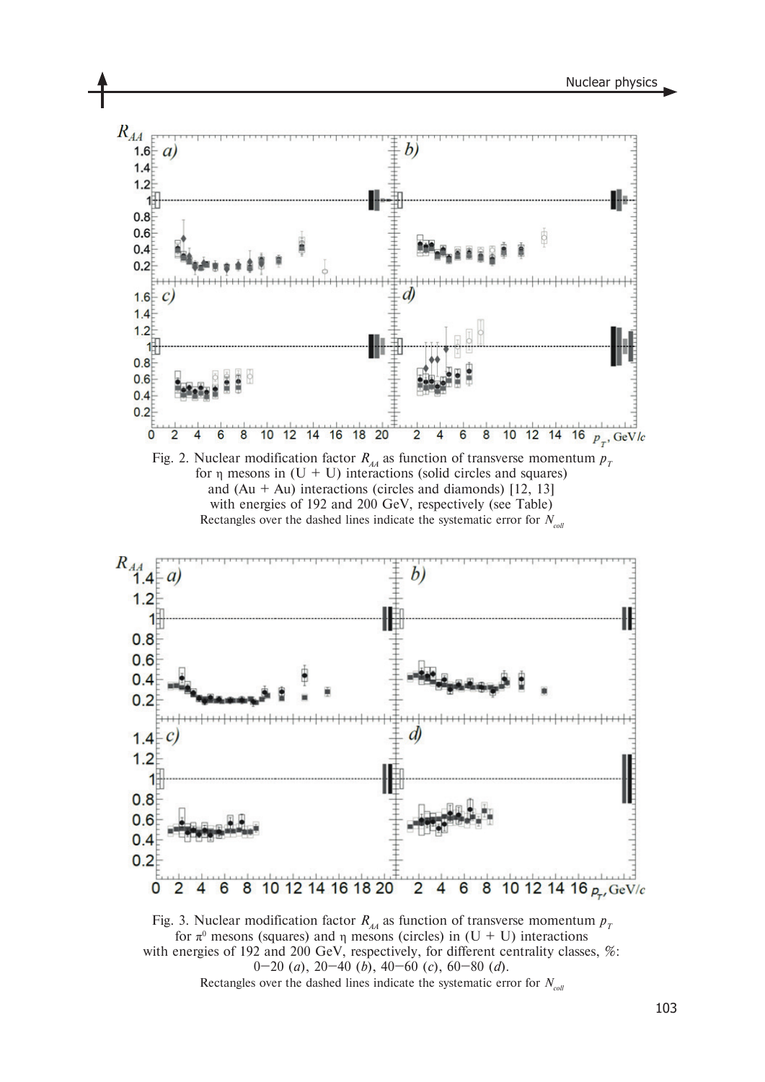

Fig. 3. Nuclear modification factor  $R_{A}$  as function of transverse momentum  $p_T$ for π<sup>0</sup> mesons (squares) and η mesons (circles) in  $(U + U)$  interactions with energies of 192 and 200 GeV, respectively, for different centrality classes, %: 0–20 (*a*), 20–40 (*b*), 40–60 (*c*), 60–80 (*d*). Rectangles over the dashed lines indicate the systematic error for  $N_{\text{coll}}$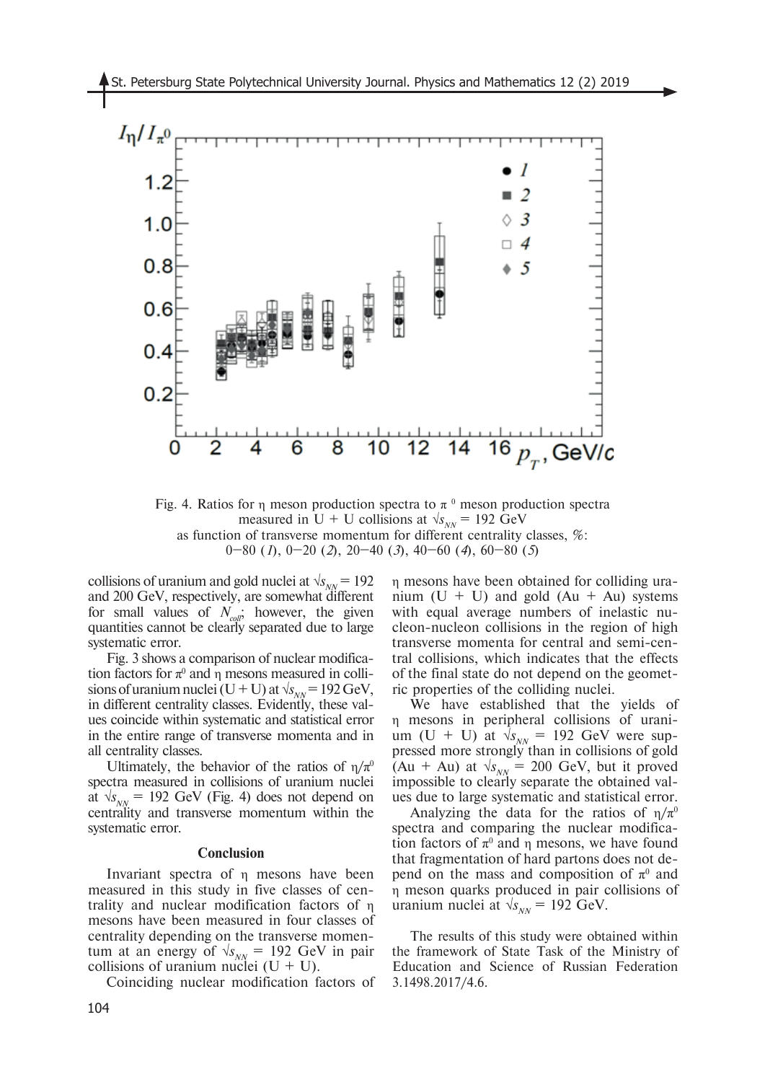

Fig. 4. Ratios for  $\eta$  meson production spectra to  $\pi$ <sup>0</sup> meson production spectra measured in U + U collisions at  $\sqrt{s_{NN}}$  = 192 GeV as function of transverse momentum for different centrality classes, %: 0–80 (*1*), 0–20 (*2*), 20–40 (*3*), 40–60 (*4*), 60–80 (*5*)

collisions of uranium and gold nuclei at  $\sqrt{s_{NN}}$  = 192 and 200 GeV, respectively, are somewhat different for small values of  $N_{coll}$ ; however, the given quantities cannot be clearly separated due to large systematic error.

Fig. 3 shows a comparison of nuclear modification factors for  $\pi^0$  and  $\eta$  mesons measured in collisions of uranium nuclei (U + U) at  $\sqrt{s_{NN}}$  = 192 GeV, in different centrality classes. Evidently, these values coincide within systematic and statistical error in the entire range of transverse momenta and in all centrality classes.

Ultimately, the behavior of the ratios of  $\eta/\pi^0$ spectra measured in collisions of uranium nuclei at  $\sqrt{s_{NN}}$  = 192 GeV (Fig. 4) does not depend on centrality and transverse momentum within the systematic error.

#### **Conclusion**

Invariant spectra of η mesons have been measured in this study in five classes of centrality and nuclear modification factors of η mesons have been measured in four classes of centrality depending on the transverse momentum at an energy of  $\sqrt{s_{NN}}$  = 192 GeV in pair collisions of uranium nuclei  $(U + U)$ .

Coinciding nuclear modification factors of

η mesons have been obtained for colliding uranium  $(U + U)$  and gold  $(Au + Au)$  systems with equal average numbers of inelastic nucleon-nucleon collisions in the region of high transverse momenta for central and semi-central collisions, which indicates that the effects of the final state do not depend on the geometric properties of the colliding nuclei.

We have established that the yields of η mesons in peripheral collisions of uranium (U + U) at  $\sqrt{s_{NN}}$  = 192 GeV were suppressed more strongly than in collisions of gold (Au + Au) at  $\sqrt{s_{NN}}$  = 200 GeV, but it proved impossible to clearly separate the obtained values due to large systematic and statistical error.

Analyzing the data for the ratios of  $\eta/\pi^0$ spectra and comparing the nuclear modification factors of  $\pi^0$  and  $\eta$  mesons, we have found that fragmentation of hard partons does not depend on the mass and composition of  $\pi^0$  and η meson quarks produced in pair collisions of uranium nuclei at  $\sqrt{s_{NN}}$  = 192 GeV.

The results of this study were obtained within the framework of State Task of the Ministry of Education and Science of Russian Federation 3.1498.2017/4.6.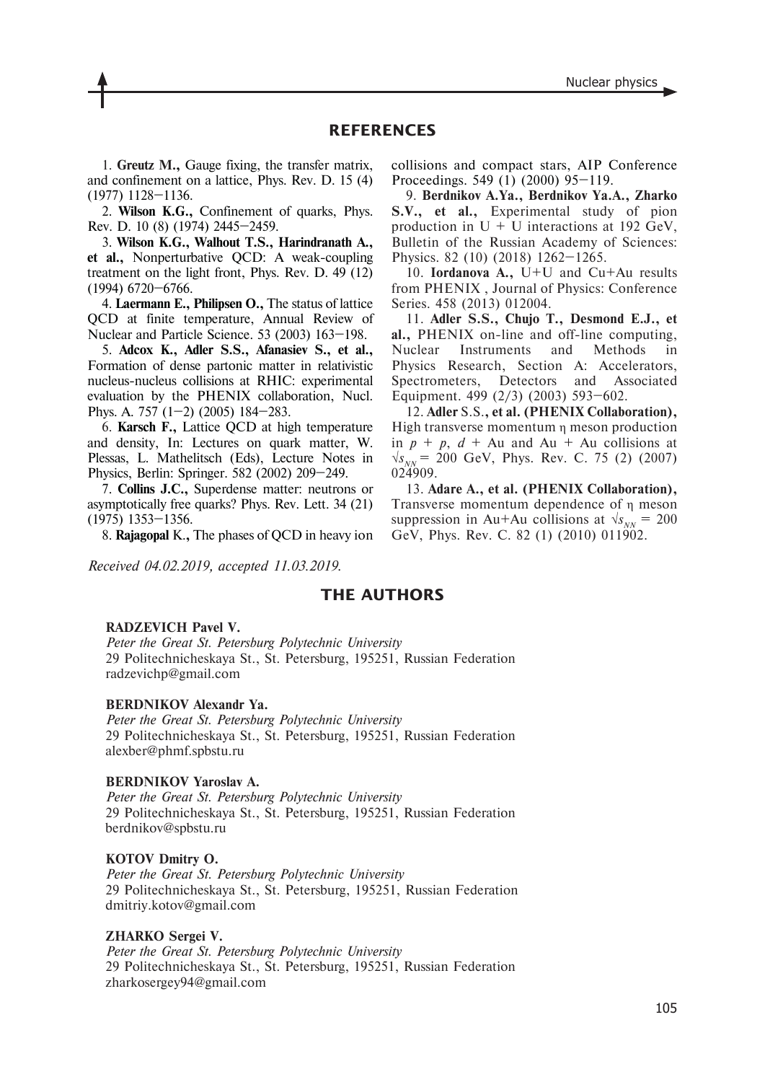# **REFERENCES**

1. **Greutz M.,** Gauge fixing, the transfer matrix, and confinement on a lattice, Phys. Rev. D. 15 (4) (1977) 1128–1136.

2. **Wilson K.G.,** Confinement of quarks, Phys. Rev. D. 10 (8) (1974) 2445–2459.

3. **Wilson K.G., Walhout T.S., Harindranath A., et al.,** Nonperturbative QCD: A weak-coupling treatment on the light front, Phys. Rev. D. 49 (12) (1994) 6720–6766.

4. **Laermann E., Philipsen O.,** The status of lattice QCD at finite temperature, Annual Review of Nuclear and Particle Science. 53 (2003) 163–198.

5. **Adcox K., Adler S.S., Afanasiev S., et al.,** Formation of dense partonic matter in relativistic nucleus-nucleus collisions at RHIC: experimental evaluation by the PHENIX collaboration, Nucl. Phys. A. 757 (1–2) (2005) 184–283.

6. **Karsch F.,** Lattice QCD at high temperature and density, In: Lectures on quark matter, W. Plessas, L. Mathelitsch (Eds), Lecture Notes in Physics, Berlin: Springer. 582 (2002) 209–249.

7. **Collins J.C.,** Superdense matter: neutrons or asymptotically free quarks? Phys. Rev. Lett. 34 (21) (1975) 1353–1356.

8. **Rajagopal** K.**,** The phases of QCD in heavy ion

collisions and compact stars, AIP Conference Proceedings. 549 (1) (2000) 95–119.

9. **Berdnikov A.Ya., Berdnikov Ya.A., Zharko S.V., et al.,** Experimental study of pion production in  $U + U$  interactions at 192 GeV, Bulletin of the Russian Academy of Sciences: Physics. 82 (10) (2018) 1262–1265.

10. **Iordanova A.,** U+U and Cu+Au results from PHENIX , Journal of Physics: Conference Series. 458 (2013) 012004.

11. **Adler S.S., Chujo T., Desmond E.J., et al.,** PHENIX on-line and off-line computing, Nuclear Instruments and Methods in Physics Research, Section A: Accelerators, Spectrometers, Detectors and Associated Equipment. 499 (2/3) (2003) 593–602.

12. **Adler** S.S.**, et al. (PHENIX Collaboration),**  High transverse momentum η meson production in  $p + p$ ,  $d + Au$  and Au + Au collisions at  $\sqrt{s_{NN}}$  = 200 GeV, Phys. Rev. C. 75 (2) (2007) 024909.

13. **Adare A., et al. (PHENIX Collaboration),** Transverse momentum dependence of η meson suppression in Au+Au collisions at  $\sqrt{s_{NN}}$  = 200 GeV, Phys. Rev. C. 82 (1) (2010) 011902.

*Received 04.02.2019, accepted 11.03.2019.*

# **THE AUTHORS**

## **RADZEVICH Pavel V.**

*Peter the Great St. Petersburg Polytechnic University* 29 Politechnicheskaya St., St. Petersburg, 195251, Russian Federation radzevichp@gmail.com

# **BERDNIKOV Alexandr Ya.**

*Peter the Great St. Petersburg Polytechnic University* 29 Politechnicheskaya St., St. Petersburg, 195251, Russian Federation alexber@phmf.spbstu.ru

## **BERDNIKOV Yaroslav A.**

*Peter the Great St. Petersburg Polytechnic University* 29 Politechnicheskaya St., St. Petersburg, 195251, Russian Federation berdnikov@spbstu.ru

#### **KOTOV Dmitry O.**

*Peter the Great St. Petersburg Polytechnic University* 29 Politechnicheskaya St., St. Petersburg, 195251, Russian Federation dmitriy.kotov@gmail.com

#### **ZHARKO Sergei V.**

*Peter the Great St. Petersburg Polytechnic University* 29 Politechnicheskaya St., St. Petersburg, 195251, Russian Federation zharkosergey94@gmail.com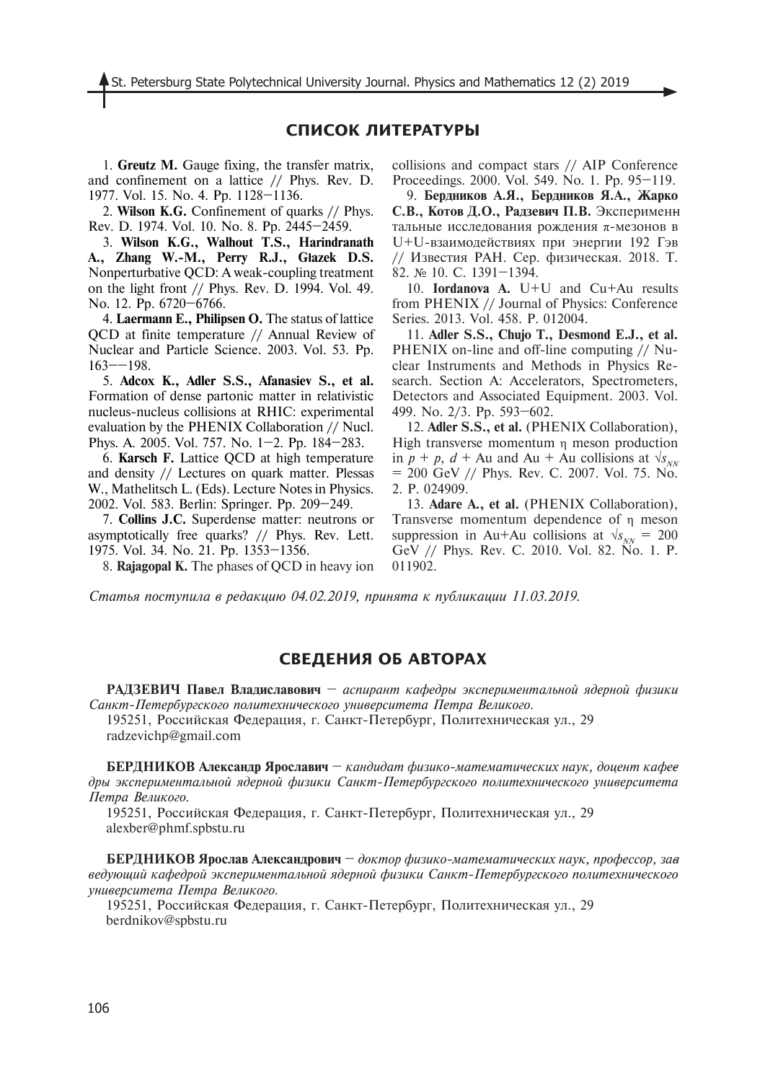# **СПИСОК ЛИТЕРАТУРЫ**

1. **Greutz M.** Gauge fixing, the transfer matrix, and confinement on a lattice // Phys. Rev. D. 1977. Vol. 15. No. 4. Pp. 1128–1136.

2. **Wilson K.G.** Confinement of quarks // Phys. Rev. D. 1974. Vol. 10. No. 8. Pp. 2445–2459.

3. **Wilson K.G., Walhout T.S., Harindranath A., Zhang W.-M., Perry R.J., Głazek D.S.**  Nonperturbative QCD: A weak-coupling treatment on the light front // Phys. Rev. D. 1994. Vol. 49. No. 12. Pp. 6720–6766.

4. **Laermann E., Philipsen O.** The status of lattice QCD at finite temperature // Annual Review of Nuclear and Particle Science. 2003. Vol. 53. Pp. 163––198.

5. **Adcox K., Adler S.S., Afanasiev S., et al.**  Formation of dense partonic matter in relativistic nucleus-nucleus collisions at RHIC: experimental evaluation by the PHENIX Collaboration // Nucl. Phys. A. 2005. Vol. 757. No. 1–2. Pp. 184–283.

6. **Karsch F.** Lattice QCD at high temperature and density // Lectures on quark matter. Plessas W., Mathelitsch L. (Eds). Lecture Notes in Physics. 2002. Vol. 583. Berlin: Springer. Pp. 209–249.

7. **Collins J.C.** Superdense matter: neutrons or asymptotically free quarks? // Phys. Rev. Lett. 1975. Vol. 34. No. 21. Pp. 1353–1356.

8. **Rajagopal K.** The phases of QCD in heavy ion

collisions and compact stars // AIP Conference Proceedings. 2000. Vol. 549. No. 1. Pp. 95–119.

9. **Бердников А.Я., Бердников Я.А., Жарко**  С.В., Котов Д.О., Радзевич П.В. Эксперименн тальные исследования рождения π-мезонов в U+U-взаимодействиях при энергии 192 Гэв // Известия РАН. Сер. физическая. 2018. Т. 82. № 10. С. 1391–1394.

10. **Iordanova A.** U+U and Cu+Au results from PHENIX // Journal of Physics: Conference Series. 2013. Vol. 458. P. 012004.

11. **Adler S.S., Chujo T., Desmond E.J., et al.** PHENIX on-line and off-line computing // Nuclear Instruments and Methods in Physics Research. Section A: Accelerators, Spectrometers, Detectors and Associated Equipment. 2003. Vol. 499. No. 2/3. Pp. 593–602.

12. **Adler S.S., et al.** (PHENIX Collaboration), High transverse momentum η meson production in  $p + p$ ,  $d + Au$  and Au + Au collisions at  $\sqrt{s_{NN}}$  $= 200$  GeV // Phys. Rev. C. 2007. Vol. 75. No. 2. P. 024909.

13. **Adare A., et al.** (PHENIX Collaboration), Transverse momentum dependence of η meson suppression in Au+Au collisions at  $\sqrt{s_{NN}}$  = 200 GeV // Phys. Rev. C. 2010. Vol. 82. No. 1. P. 011902.

*Статья поступила в редакцию 04.02.2019, принята к публикации 11.03.2019.*

# **СВЕДЕНИЯ ОБ АВТОРАХ**

**РАДЗЕВИЧ Павел Владиславович** – *аспирант кафедры экспериментальной ядерной физики Санкт-Петербургского политехнического университета Петра Великого.* 195251, Российская Федерация, г. Санкт-Петербург, Политехническая ул., 29

radzevichp@gmail.com

**БЕРДНИКОВ Александр Ярославич** – кандидат физико-математических наук, доцент кафее *дры экспериментальной ядерной физики Санкт-Петербургского политехнического университета Петра Великого.*

195251, Российская Федерация, г. Санкт-Петербург, Политехническая ул., 29 alexber@phmf.spbstu.ru

**БЕРДНИКОВ Ярослав Александрович** — доктор физико-математических наук, профессор, заа *ведующий кафедрой экспериментальной ядерной физики Санкт-Петербургского политехнического университета Петра Великого.*

195251, Российская Федерация, г. Санкт-Петербург, Политехническая ул., 29 berdnikov@spbstu.ru